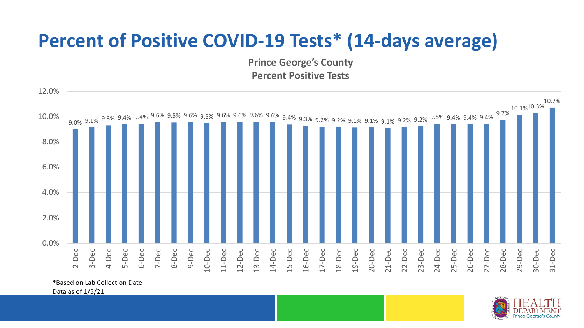## **Percent of Positive COVID-19 Tests\* (14-days average)**

**Prince George's County Percent Positive Tests**



\*Based on Lab Collection Date

Data as of 1/5/21

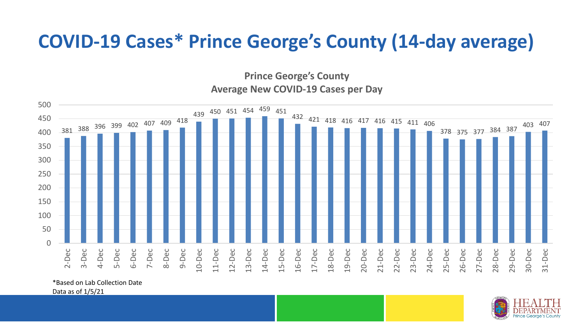## **COVID-19 Cases\* Prince George's County (14-day average)**

**Prince George's County Average New COVID-19 Cases per Day**



\*Based on Lab Collection Date

Data as of 1/5/21